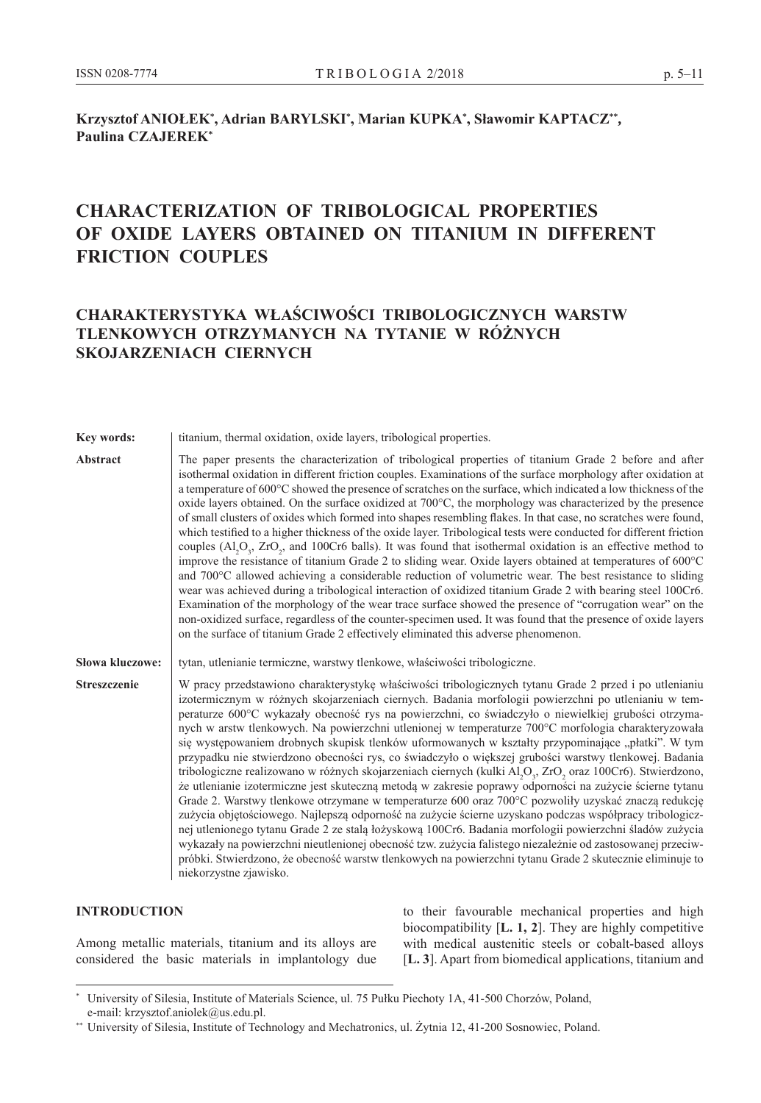### $\boldsymbol{\mathsf{K}}$ rzysztof ANIOŁEK $^*$ , Adrian BARYLSKI $^*$ , Marian KUPKA $^*$ , Sławomir KAPTACZ $^{**}$ , **Paulina CZAJEREK\***

# **CHARACTERIZATION OF TRIBOLOGICAL PROPERTIES OF OXIDE LAYERS OBTAINED ON TITANIUM IN DIFFERENT FRICTION COUPLES**

## **CHARAKTERYSTYKA WŁAŚCIWOŚCI TRIBOLOGICZNYCH WARSTW TLENKOWYCH OTRZYMANYCH NA TYTANIE W RÓŻNYCH SKOJARZENIACH CIERNYCH**

**Key words:** | titanium, thermal oxidation, oxide layers, tribological properties.

Abstract The paper presents the characterization of tribological properties of titanium Grade 2 before and after isothermal oxidation in different friction couples. Examinations of the surface morphology after oxidation at a temperature of 600°C showed the presence of scratches on the surface, which indicated a low thickness of the oxide layers obtained. On the surface oxidized at 700°C, the morphology was characterized by the presence of small clusters of oxides which formed into shapes resembling flakes. In that case, no scratches were found, which testified to a higher thickness of the oxide layer. Tribological tests were conducted for different friction couples  $(Al_2O_3, ZrO_2,$  and 100Cr6 balls). It was found that isothermal oxidation is an effective method to improve the resistance of titanium Grade 2 to sliding wear. Oxide layers obtained at temperatures of 600°C and 700°C allowed achieving a considerable reduction of volumetric wear. The best resistance to sliding wear was achieved during a tribological interaction of oxidized titanium Grade 2 with bearing steel 100Cr6. Examination of the morphology of the wear trace surface showed the presence of "corrugation wear" on the non-oxidized surface, regardless of the counter-specimen used. It was found that the presence of oxide layers on the surface of titanium Grade 2 effectively eliminated this adverse phenomenon.

**Słowa kluczowe:** tytan, utlenianie termiczne, warstwy tlenkowe, właściwości tribologiczne.

Streszczenie W pracy przedstawiono charakterystykę właściwości tribologicznych tytanu Grade 2 przed i po utlenianiu izotermicznym w różnych skojarzeniach ciernych. Badania morfologii powierzchni po utlenianiu w temperaturze 600°C wykazały obecność rys na powierzchni, co świadczyło o niewielkiej grubości otrzymanych w arstw tlenkowych. Na powierzchni utlenionej w temperaturze 700°C morfologia charakteryzowała się występowaniem drobnych skupisk tlenków uformowanych w kształty przypominające "płatki". W tym przypadku nie stwierdzono obecności rys, co świadczyło o większej grubości warstwy tlenkowej. Badania tribologiczne realizowano w różnych skojarzeniach ciernych (kulki  $Al_2O_3$ , ZrO<sub>2</sub> oraz 100Cr6). Stwierdzono, że utlenianie izotermiczne jest skuteczną metodą w zakresie poprawy odporności na zużycie ścierne tytanu Grade 2. Warstwy tlenkowe otrzymane w temperaturze 600 oraz 700°C pozwoliły uzyskać znaczą redukcję zużycia objętościowego. Najlepszą odporność na zużycie ścierne uzyskano podczas współpracy tribologicznej utlenionego tytanu Grade 2 ze stalą łożyskową 100Cr6. Badania morfologii powierzchni śladów zużycia wykazały na powierzchni nieutlenionej obecność tzw. zużycia falistego niezależnie od zastosowanej przeciwpróbki. Stwierdzono, że obecność warstw tlenkowych na powierzchni tytanu Grade 2 skutecznie eliminuje to niekorzystne zjawisko.

#### **Introduction**

Among metallic materials, titanium and its alloys are considered the basic materials in implantology due to their favourable mechanical properties and high biocompatibility [**L. 1, 2**]. They are highly competitive with medical austenitic steels or cobalt-based alloys [**L. 3**]. Apart from biomedical applications, titanium and

University of Silesia, Institute of Materials Science, ul. 75 Pułku Piechoty 1A, 41-500 Chorzów, Poland, e-mail: krzysztof.aniolek@us.edu.pl.

<sup>\*\*</sup> University of Silesia, Institute of Technology and Mechatronics, ul. Żytnia 12, 41-200 Sosnowiec, Poland.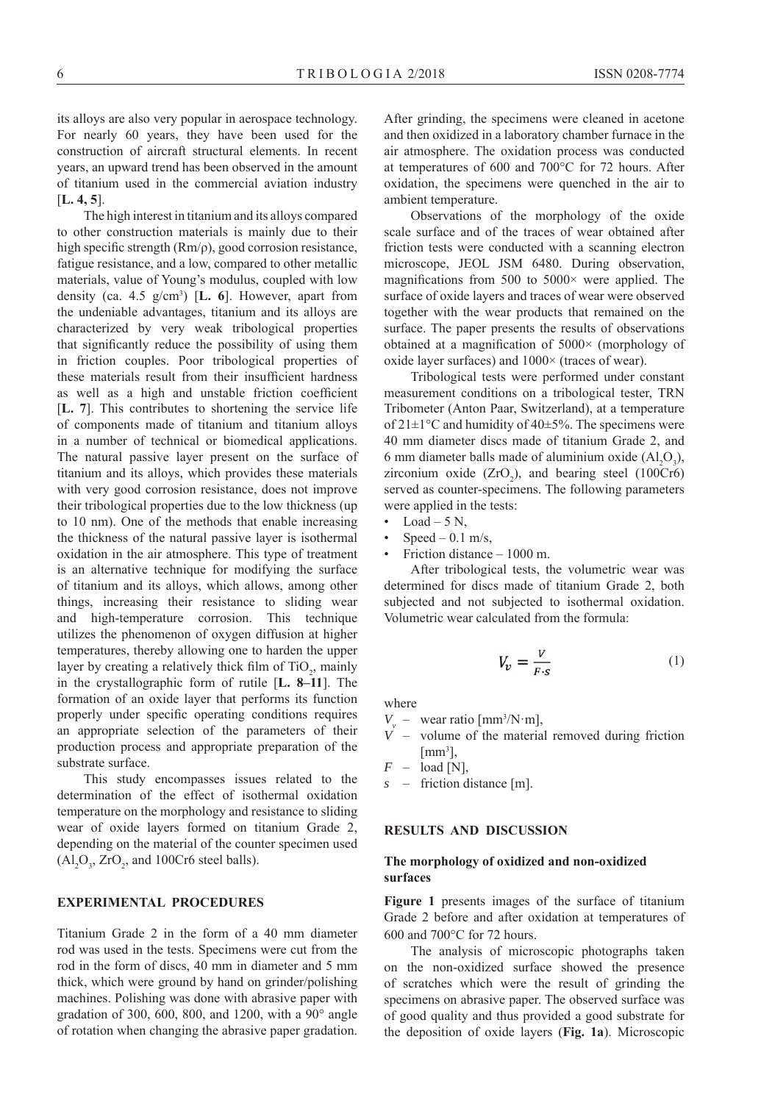its alloys are also very popular in aerospace technology. For nearly 60 years, they have been used for the construction of aircraft structural elements. In recent years, an upward trend has been observed in the amount of titanium used in the commercial aviation industry [**L. 4, 5**].

The high interest in titanium and its alloys compared to other construction materials is mainly due to their high specific strength (Rm/ρ), good corrosion resistance, fatigue resistance, and a low, compared to other metallic materials, value of Young's modulus, coupled with low density (ca.  $4.5 \text{ g/cm}^3$ ) [**L. 6**]. However, apart from the undeniable advantages, titanium and its alloys are characterized by very weak tribological properties that significantly reduce the possibility of using them in friction couples. Poor tribological properties of these materials result from their insufficient hardness as well as a high and unstable friction coefficient [**L. 7**]. This contributes to shortening the service life of components made of titanium and titanium alloys in a number of technical or biomedical applications. The natural passive layer present on the surface of titanium and its alloys, which provides these materials with very good corrosion resistance, does not improve their tribological properties due to the low thickness (up to 10 nm). One of the methods that enable increasing the thickness of the natural passive layer is isothermal oxidation in the air atmosphere. This type of treatment is an alternative technique for modifying the surface of titanium and its alloys, which allows, among other things, increasing their resistance to sliding wear and high-temperature corrosion. This technique utilizes the phenomenon of oxygen diffusion at higher temperatures, thereby allowing one to harden the upper layer by creating a relatively thick film of  $TiO<sub>2</sub>$ , mainly in the crystallographic form of rutile [**L. 8–11**]. The formation of an oxide layer that performs its function properly under specific operating conditions requires an appropriate selection of the parameters of their production process and appropriate preparation of the substrate surface.

This study encompasses issues related to the determination of the effect of isothermal oxidation temperature on the morphology and resistance to sliding wear of oxide layers formed on titanium Grade 2, depending on the material of the counter specimen used  $\text{(Al}_2\text{O}_3, \text{ZrO}_2, \text{and } 100\text{Cr6 steel balls}).$ 

#### **EXPERIMENTAL PROCEDURES**

Titanium Grade 2 in the form of a 40 mm diameter rod was used in the tests. Specimens were cut from the rod in the form of discs, 40 mm in diameter and 5 mm thick, which were ground by hand on grinder/polishing machines. Polishing was done with abrasive paper with gradation of 300, 600, 800, and 1200, with a  $90^\circ$  angle of rotation when changing the abrasive paper gradation.

After grinding, the specimens were cleaned in acetone and then oxidized in a laboratory chamber furnace in the air atmosphere. The oxidation process was conducted at temperatures of 600 and 700°C for 72 hours. After oxidation, the specimens were quenched in the air to ambient temperature.

Observations of the morphology of the oxide scale surface and of the traces of wear obtained after friction tests were conducted with a scanning electron microscope, JEOL JSM 6480. During observation, magnifications from 500 to 5000 $\times$  were applied. The surface of oxide layers and traces of wear were observed together with the wear products that remained on the surface. The paper presents the results of observations obtained at a magnification of 5000× (morphology of oxide layer surfaces) and 1000× (traces of wear).

Tribological tests were performed under constant measurement conditions on a tribological tester, TRN Tribometer (Anton Paar, Switzerland), at a temperature of  $21 \pm 1$ °C and humidity of 40 $\pm 5$ %. The specimens were 40 mm diameter discs made of titanium Grade 2, and 6 mm diameter balls made of aluminium oxide  $(Al_2O_3)$ , zirconium oxide  $(ZrO<sub>2</sub>)$ , and bearing steel (100Cr6) served as counter-specimens. The following parameters were applied in the tests:

- Load  $-5$  N,
- $Speed 0.1$  m/s,
- Friction distance 1000 m.

After tribological tests, the volumetric wear was determined for discs made of titanium Grade 2, both subjected and not subjected to isothermal oxidation. Volumetric wear calculated from the formula:

$$
V_{\nu} = \frac{V}{F \cdot s} \tag{1}
$$

where

- $V_v$  wear ratio [mm<sup>3</sup>/N·m],
- $V$  volume of the material removed during friction  $[mm^3]$ ,
- $F -$  load [N],
- *s* friction distance [m].

#### **RESULTS AND DISCUSSION**

#### **The morphology of oxidized and non-oxidized surfaces**

**Figure 1** presents images of the surface of titanium Grade 2 before and after oxidation at temperatures of 600 and 700°C for 72 hours.

The analysis of microscopic photographs taken on the non-oxidized surface showed the presence of scratches which were the result of grinding the specimens on abrasive paper. The observed surface was of good quality and thus provided a good substrate for the deposition of oxide layers (**Fig. 1a**). Microscopic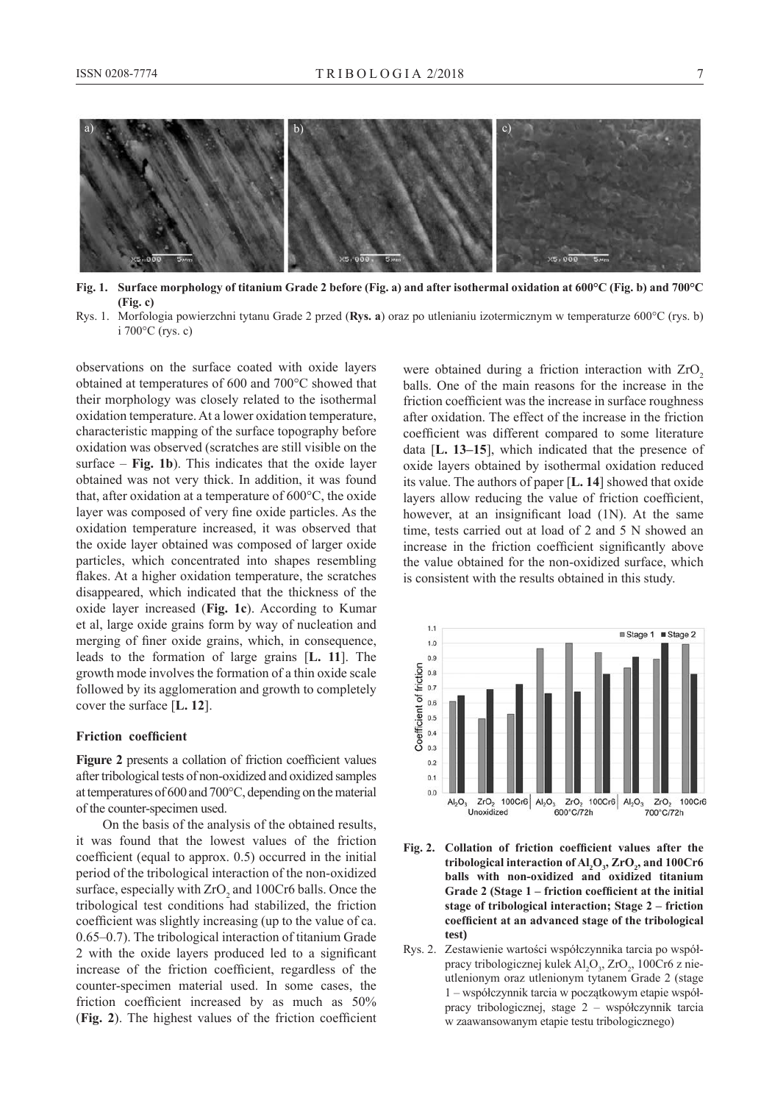

**Fig. 1. Surface morphology of titanium Grade 2 before (Fig. a) and after isothermal oxidation at 600°C (Fig. b) and 700°C (Fig. c)**

Rys. 1. Morfologia powierzchni tytanu Grade 2 przed (**Rys. a**) oraz po utlenianiu izotermicznym w temperaturze 600°C (rys. b) i 700°C (rys. c)

observations on the surface coated with oxide layers obtained at temperatures of 600 and 700°C showed that their morphology was closely related to the isothermal oxidation temperature. At a lower oxidation temperature, characteristic mapping of the surface topography before oxidation was observed (scratches are still visible on the surface – **Fig. 1b**). This indicates that the oxide layer obtained was not very thick. In addition, it was found that, after oxidation at a temperature of 600°C, the oxide layer was composed of very fine oxide particles. As the oxidation temperature increased, it was observed that the oxide layer obtained was composed of larger oxide particles, which concentrated into shapes resembling flakes. At a higher oxidation temperature, the scratches disappeared, which indicated that the thickness of the oxide layer increased (**Fig. 1c**). According to Kumar et al, large oxide grains form by way of nucleation and merging of finer oxide grains, which, in consequence, leads to the formation of large grains [**L. 11**]. The growth mode involves the formation of a thin oxide scale followed by its agglomeration and growth to completely cover the surface [**L. 12**].

#### **Friction coefficient**

**Figure 2** presents a collation of friction coefficient values after tribological tests of non-oxidized and oxidized samples at temperatures of 600 and 700°C, depending on the material of the counter-specimen used.

On the basis of the analysis of the obtained results, it was found that the lowest values of the friction coefficient (equal to approx. 0.5) occurred in the initial period of the tribological interaction of the non-oxidized surface, especially with  $ZrO_2$  and 100Cr6 balls. Once the tribological test conditions had stabilized, the friction coefficient was slightly increasing (up to the value of ca. 0.65–0.7). The tribological interaction of titanium Grade 2 with the oxide layers produced led to a significant increase of the friction coefficient, regardless of the counter-specimen material used. In some cases, the friction coefficient increased by as much as 50% (**Fig. 2**). The highest values of the friction coefficient

were obtained during a friction interaction with  $ZrO<sub>2</sub>$ balls. One of the main reasons for the increase in the friction coefficient was the increase in surface roughness after oxidation. The effect of the increase in the friction coefficient was different compared to some literature data [**L. 13–15**], which indicated that the presence of oxide layers obtained by isothermal oxidation reduced its value. The authors of paper [**L. 14**] showed that oxide layers allow reducing the value of friction coefficient, however, at an insignificant load (1N). At the same time, tests carried out at load of 2 and 5 N showed an increase in the friction coefficient significantly above the value obtained for the non-oxidized surface, which is consistent with the results obtained in this study.



- **Fig. 2. Collation of friction coefficient values after the tribological interaction of Al<sup>2</sup> O3 , ZrO<sup>2</sup> , and 100Cr6 balls with non-oxidized and oxidized titanium Grade 2 (Stage 1 – friction coefficient at the initial stage of tribological interaction; Stage 2 – friction coefficient at an advanced stage of the tribological test)**
- Rys. 2. Zestawienie wartości współczynnika tarcia po współpracy tribologicznej kulek  $\text{Al}_2\text{O}_3$ , ZrO $_2$ , 100Cr6 z nieutlenionym oraz utlenionym tytanem Grade 2 (stage 1 – współczynnik tarcia w początkowym etapie współpracy tribologicznej, stage 2 – współczynnik tarcia w zaawansowanym etapie testu tribologicznego)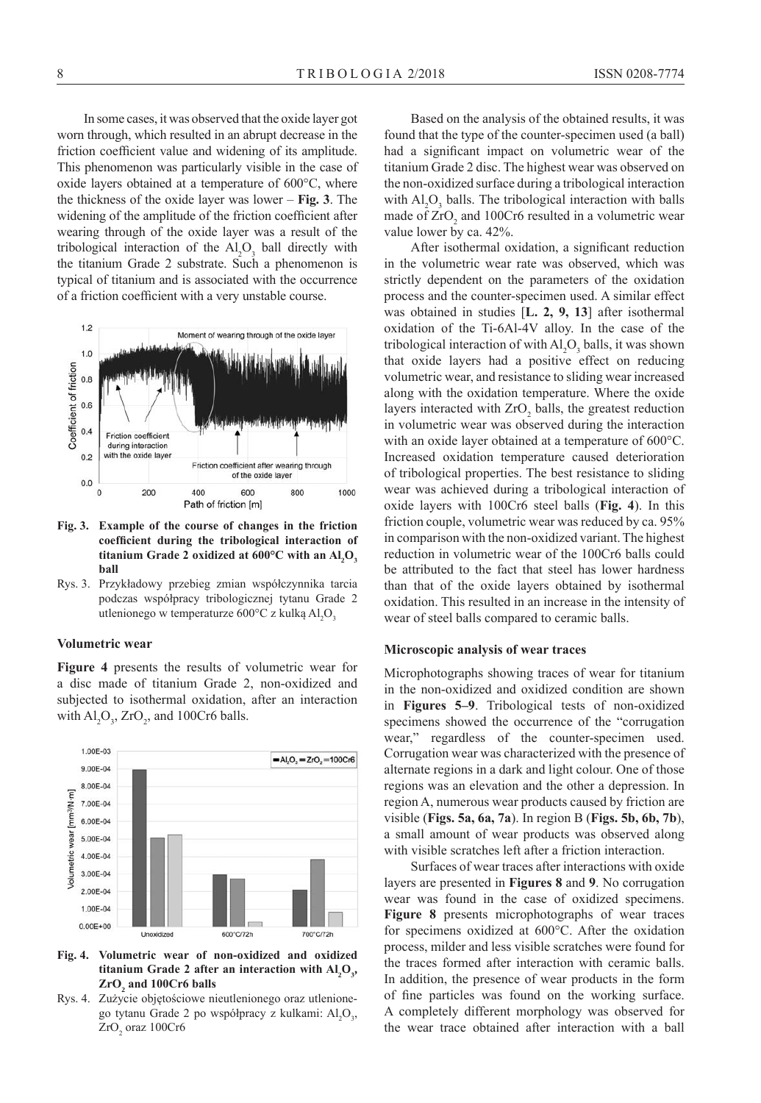In some cases, it was observed that the oxide layer got worn through, which resulted in an abrupt decrease in the friction coefficient value and widening of its amplitude. This phenomenon was particularly visible in the case of oxide layers obtained at a temperature of 600°C, where the thickness of the oxide layer was lower – **Fig. 3**. The widening of the amplitude of the friction coefficient after wearing through of the oxide layer was a result of the tribological interaction of the  $\text{Al}_2\text{O}_3$  ball directly with the titanium Grade 2 substrate. Such a phenomenon is typical of titanium and is associated with the occurrence of a friction coefficient with a very unstable course.



**Fig. 3. Example of the course of changes in the friction coefficient during the tribological interaction of**  titanium Grade 2 oxidized at 600°C with an  $AI_2O_3$ **ball**

Rys. 3. Przykładowy przebieg zmian współczynnika tarcia podczas współpracy tribologicznej tytanu Grade 2 utlenionego w temperaturze 600°C z kulką Al<sub>2</sub>O<sub>3</sub>

#### **Volumetric wear**

**Figure 4** presents the results of volumetric wear for a disc made of titanium Grade 2, non-oxidized and subjected to isothermal oxidation, after an interaction with  $\text{Al}_2\text{O}_3$ , ZrO<sub>2</sub>, and 100Cr6 balls.



**Fig. 4. Volumetric wear of non-oxidized and oxidized titanium Grade 2 after an interaction with Al<sup>2</sup> O3 , ZrO<sup>2</sup> and 100Cr6 balls**

Rys. 4. Zużycie objętościowe nieutlenionego oraz utlenionego tytanu Grade 2 po współpracy z kulkami:  $Al_2O_3$ ,  $ZrO<sub>2</sub>$  oraz 100Cr6

Based on the analysis of the obtained results, it was found that the type of the counter-specimen used (a ball) had a significant impact on volumetric wear of the titanium Grade 2 disc. The highest wear was observed on the non-oxidized surface during a tribological interaction with  $Al_2O_3$  balls. The tribological interaction with balls made of  $ZrO<sub>2</sub>$  and 100Cr6 resulted in a volumetric wear value lower by ca. 42%.

After isothermal oxidation, a significant reduction in the volumetric wear rate was observed, which was strictly dependent on the parameters of the oxidation process and the counter-specimen used. A similar effect was obtained in studies [**L. 2, 9, 13**] after isothermal oxidation of the Ti-6Al-4V alloy. In the case of the tribological interaction of with  $\text{Al}_2\text{O}_3$  balls, it was shown that oxide layers had a positive effect on reducing volumetric wear, and resistance to sliding wear increased along with the oxidation temperature. Where the oxide layers interacted with  $ZrO_2$  balls, the greatest reduction in volumetric wear was observed during the interaction with an oxide layer obtained at a temperature of 600°C. Increased oxidation temperature caused deterioration of tribological properties. The best resistance to sliding wear was achieved during a tribological interaction of oxide layers with 100Cr6 steel balls (**Fig. 4**). In this friction couple, volumetric wear was reduced by ca. 95% in comparison with the non-oxidized variant. The highest reduction in volumetric wear of the 100Cr6 balls could be attributed to the fact that steel has lower hardness than that of the oxide layers obtained by isothermal oxidation. This resulted in an increase in the intensity of wear of steel balls compared to ceramic balls.

#### **Microscopic analysis of wear traces**

Microphotographs showing traces of wear for titanium in the non-oxidized and oxidized condition are shown in **Figures 5–9**. Tribological tests of non-oxidized specimens showed the occurrence of the "corrugation wear," regardless of the counter-specimen used. Corrugation wear was characterized with the presence of alternate regions in a dark and light colour. One of those regions was an elevation and the other a depression. In region A, numerous wear products caused by friction are visible (**Figs. 5a, 6a, 7a**). In region B (**Figs. 5b, 6b, 7b**), a small amount of wear products was observed along with visible scratches left after a friction interaction.

Surfaces of wear traces after interactions with oxide layers are presented in **Figures 8** and **9**. No corrugation wear was found in the case of oxidized specimens. **Figure 8** presents microphotographs of wear traces for specimens oxidized at 600°C. After the oxidation process, milder and less visible scratches were found for the traces formed after interaction with ceramic balls. In addition, the presence of wear products in the form of fine particles was found on the working surface. A completely different morphology was observed for the wear trace obtained after interaction with a ball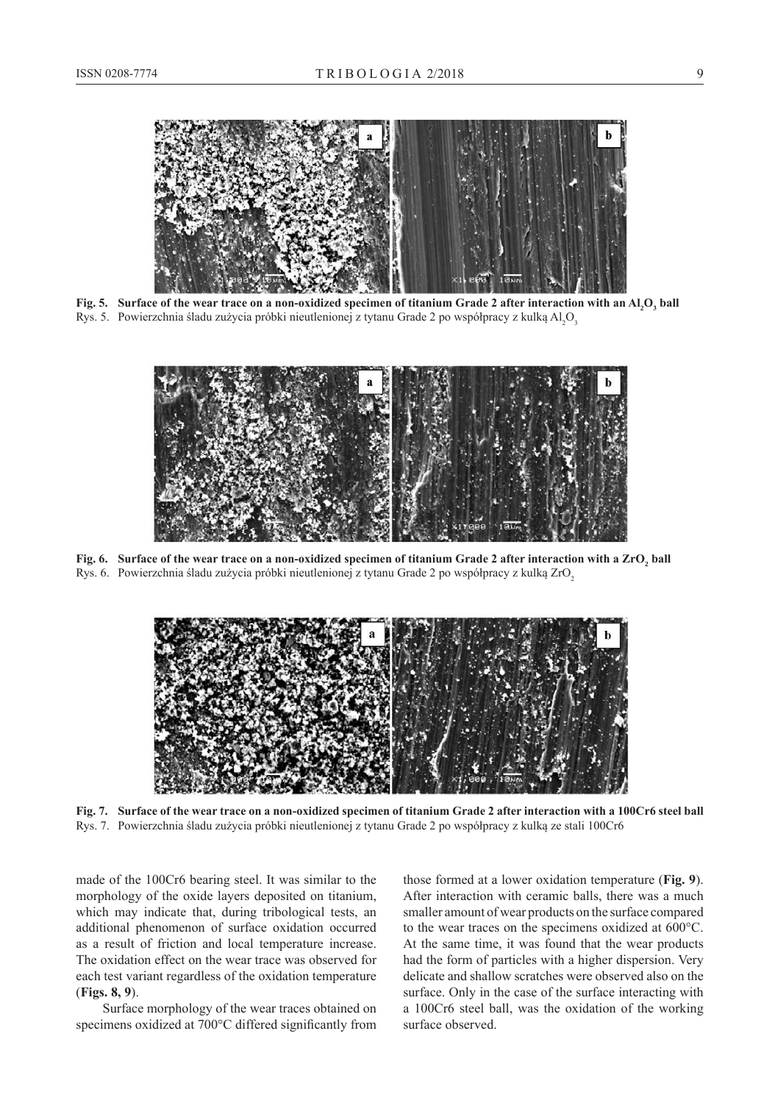

**Fig. 5. Surface of the wear trace on a non-oxidized specimen of titanium Grade 2 after interaction with an Al<sup>2</sup> O3 ball** Rys. 5. Powierzchnia śladu zużycia próbki nieutlenionej z tytanu Grade 2 po współpracy z kulką Al $_2$ O $_3$ 



**Fig. 6. Surface of the wear trace on a non-oxidized specimen of titanium Grade 2 after interaction with a ZrO<sup>2</sup> ball** Rys. 6. Powierzchnia śladu zużycia próbki nieutlenionej z tytanu Grade 2 po współpracy z kulką ZrO2



**Fig. 7. Surface of the wear trace on a non-oxidized specimen of titanium Grade 2 after interaction with a 100Cr6 steel ball** Rys. 7. Powierzchnia śladu zużycia próbki nieutlenionej z tytanu Grade 2 po współpracy z kulką ze stali 100Cr6

made of the 100Cr6 bearing steel. It was similar to the morphology of the oxide layers deposited on titanium, which may indicate that, during tribological tests, an additional phenomenon of surface oxidation occurred as a result of friction and local temperature increase. The oxidation effect on the wear trace was observed for each test variant regardless of the oxidation temperature (**Figs. 8, 9**).

Surface morphology of the wear traces obtained on specimens oxidized at 700°C differed significantly from those formed at a lower oxidation temperature (**Fig. 9**). After interaction with ceramic balls, there was a much smaller amount of wear products on the surface compared to the wear traces on the specimens oxidized at 600°C. At the same time, it was found that the wear products had the form of particles with a higher dispersion. Very delicate and shallow scratches were observed also on the surface. Only in the case of the surface interacting with a 100Cr6 steel ball, was the oxidation of the working surface observed.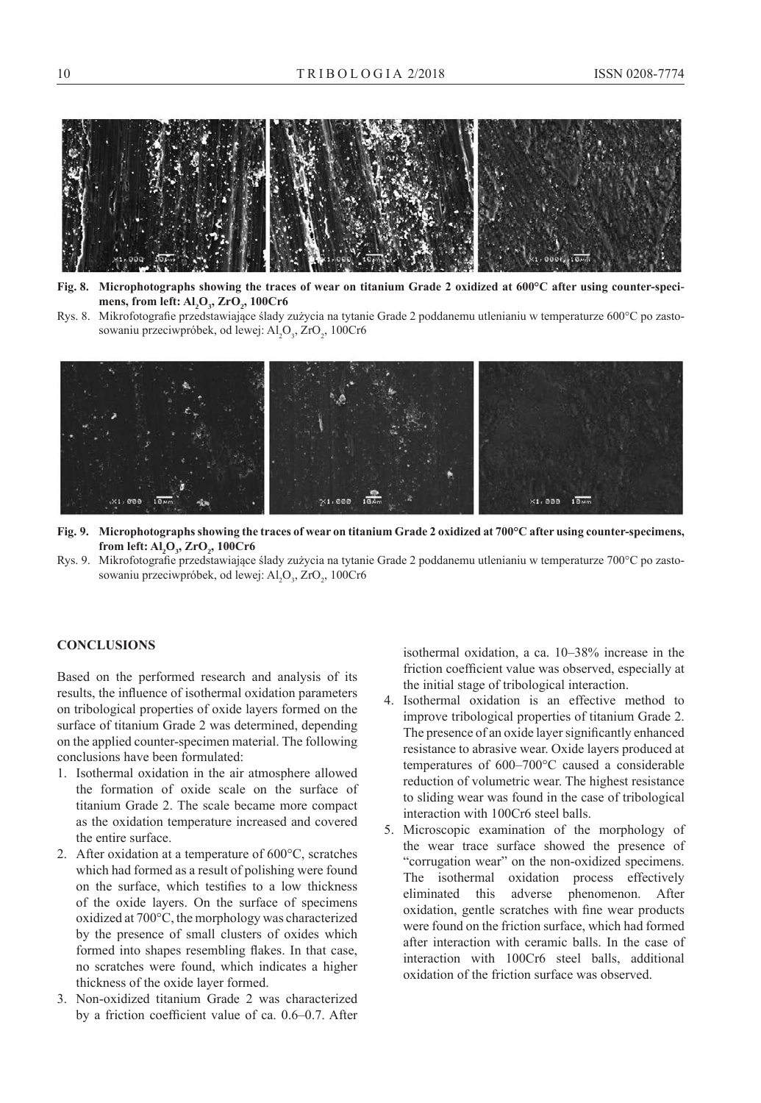

**Fig. 8. Microphotographs showing the traces of wear on titanium Grade 2 oxidized at 600°C after using counter-specimens, from left: Al<sup>2</sup> O3 , ZrO<sup>2</sup> , 100Cr6**

Rys. 8. Mikrofotografie przedstawiające ślady zużycia na tytanie Grade 2 poddanemu utlenianiu w temperaturze 600°C po zastosowaniu przeciwpróbek, od lewej:  $Al_2O_3$ , ZrO<sub>2</sub>, 100Cr6



- **Fig. 9. Microphotographs showing the traces of wear on titanium Grade 2 oxidized at 700°C after using counter-specimens, from left: Al<sup>2</sup> O3 , ZrO<sup>2</sup> , 100Cr6**
- Rys. 9. Mikrofotografie przedstawiające ślady zużycia na tytanie Grade 2 poddanemu utlenianiu w temperaturze 700°C po zastosowaniu przeciwpróbek, od lewej:  $Al_2O_3$ , ZrO<sub>2</sub>, 100Cr6

#### **ConclusionS**

Based on the performed research and analysis of its results, the influence of isothermal oxidation parameters on tribological properties of oxide layers formed on the surface of titanium Grade 2 was determined, depending on the applied counter-specimen material. The following conclusions have been formulated:

- 1. Isothermal oxidation in the air atmosphere allowed the formation of oxide scale on the surface of titanium Grade 2. The scale became more compact as the oxidation temperature increased and covered the entire surface.
- 2. After oxidation at a temperature of 600°C, scratches which had formed as a result of polishing were found on the surface, which testifies to a low thickness of the oxide layers. On the surface of specimens oxidized at 700°C, the morphology was characterized by the presence of small clusters of oxides which formed into shapes resembling flakes. In that case, no scratches were found, which indicates a higher thickness of the oxide layer formed.
- 3. Non-oxidized titanium Grade 2 was characterized by a friction coefficient value of ca. 0.6–0.7. After

isothermal oxidation, a ca. 10–38% increase in the friction coefficient value was observed, especially at the initial stage of tribological interaction.

- 4. Isothermal oxidation is an effective method to improve tribological properties of titanium Grade 2. The presence of an oxide layer significantly enhanced resistance to abrasive wear. Oxide layers produced at temperatures of 600–700°C caused a considerable reduction of volumetric wear. The highest resistance to sliding wear was found in the case of tribological interaction with 100Cr6 steel balls.
- 5. Microscopic examination of the morphology of the wear trace surface showed the presence of "corrugation wear" on the non-oxidized specimens. The isothermal oxidation process effectively eliminated this adverse phenomenon. After oxidation, gentle scratches with fine wear products were found on the friction surface, which had formed after interaction with ceramic balls. In the case of interaction with 100Cr6 steel balls, additional oxidation of the friction surface was observed.